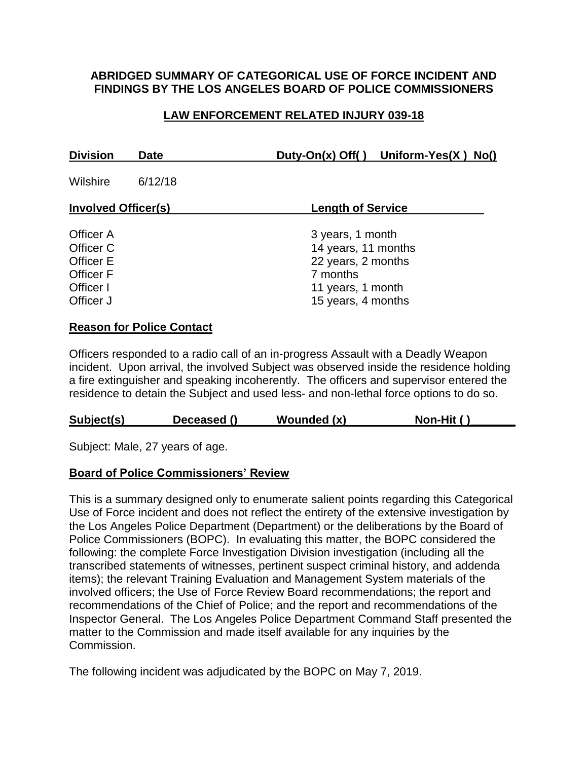#### **ABRIDGED SUMMARY OF CATEGORICAL USE OF FORCE INCIDENT AND FINDINGS BY THE LOS ANGELES BOARD OF POLICE COMMISSIONERS**

## **LAW ENFORCEMENT RELATED INJURY 039-18**

| <b>Division</b>                                                            | Date    | Duty-On(x) Off() Uniform-Yes(X) No()                                                                                 |
|----------------------------------------------------------------------------|---------|----------------------------------------------------------------------------------------------------------------------|
| Wilshire                                                                   | 6/12/18 |                                                                                                                      |
| <b>Involved Officer(s)</b>                                                 |         | <b>Length of Service</b>                                                                                             |
| Officer A<br>Officer C<br>Officer E<br>Officer F<br>Officer I<br>Officer J |         | 3 years, 1 month<br>14 years, 11 months<br>22 years, 2 months<br>7 months<br>11 years, 1 month<br>15 years, 4 months |

### **Reason for Police Contact**

Officers responded to a radio call of an in-progress Assault with a Deadly Weapon incident. Upon arrival, the involved Subject was observed inside the residence holding a fire extinguisher and speaking incoherently. The officers and supervisor entered the residence to detain the Subject and used less- and non-lethal force options to do so.

| Subject(s) | Deceased () | Wounded (x) | Non-Hit () |
|------------|-------------|-------------|------------|
|------------|-------------|-------------|------------|

Subject: Male, 27 years of age.

#### **Board of Police Commissioners' Review**

This is a summary designed only to enumerate salient points regarding this Categorical Use of Force incident and does not reflect the entirety of the extensive investigation by the Los Angeles Police Department (Department) or the deliberations by the Board of Police Commissioners (BOPC). In evaluating this matter, the BOPC considered the following: the complete Force Investigation Division investigation (including all the transcribed statements of witnesses, pertinent suspect criminal history, and addenda items); the relevant Training Evaluation and Management System materials of the involved officers; the Use of Force Review Board recommendations; the report and recommendations of the Chief of Police; and the report and recommendations of the Inspector General. The Los Angeles Police Department Command Staff presented the matter to the Commission and made itself available for any inquiries by the Commission.

The following incident was adjudicated by the BOPC on May 7, 2019.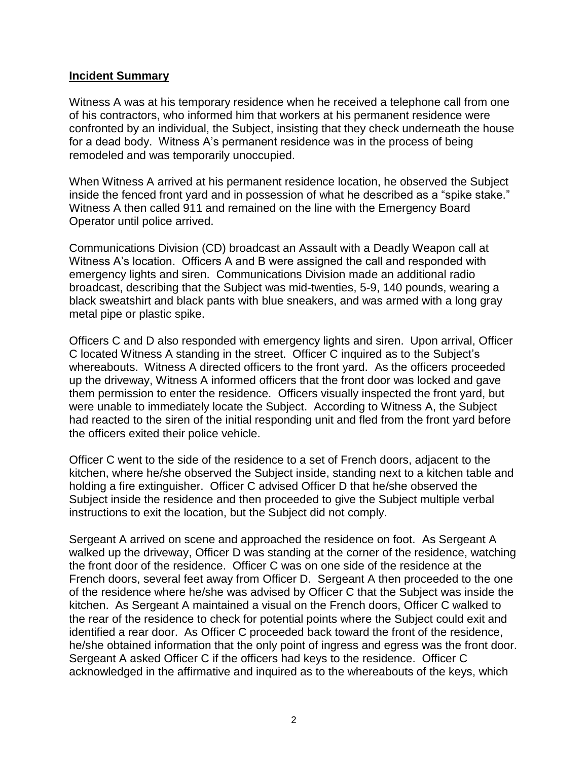#### **Incident Summary**

Witness A was at his temporary residence when he received a telephone call from one of his contractors, who informed him that workers at his permanent residence were confronted by an individual, the Subject, insisting that they check underneath the house for a dead body. Witness A's permanent residence was in the process of being remodeled and was temporarily unoccupied.

When Witness A arrived at his permanent residence location, he observed the Subject inside the fenced front yard and in possession of what he described as a "spike stake." Witness A then called 911 and remained on the line with the Emergency Board Operator until police arrived.

Communications Division (CD) broadcast an Assault with a Deadly Weapon call at Witness A's location. Officers A and B were assigned the call and responded with emergency lights and siren. Communications Division made an additional radio broadcast, describing that the Subject was mid-twenties, 5-9, 140 pounds, wearing a black sweatshirt and black pants with blue sneakers, and was armed with a long gray metal pipe or plastic spike.

Officers C and D also responded with emergency lights and siren. Upon arrival, Officer C located Witness A standing in the street. Officer C inquired as to the Subject's whereabouts. Witness A directed officers to the front yard. As the officers proceeded up the driveway, Witness A informed officers that the front door was locked and gave them permission to enter the residence. Officers visually inspected the front yard, but were unable to immediately locate the Subject. According to Witness A, the Subject had reacted to the siren of the initial responding unit and fled from the front yard before the officers exited their police vehicle.

Officer C went to the side of the residence to a set of French doors, adjacent to the kitchen, where he/she observed the Subject inside, standing next to a kitchen table and holding a fire extinguisher. Officer C advised Officer D that he/she observed the Subject inside the residence and then proceeded to give the Subject multiple verbal instructions to exit the location, but the Subject did not comply.

Sergeant A arrived on scene and approached the residence on foot. As Sergeant A walked up the driveway, Officer D was standing at the corner of the residence, watching the front door of the residence. Officer C was on one side of the residence at the French doors, several feet away from Officer D. Sergeant A then proceeded to the one of the residence where he/she was advised by Officer C that the Subject was inside the kitchen. As Sergeant A maintained a visual on the French doors, Officer C walked to the rear of the residence to check for potential points where the Subject could exit and identified a rear door. As Officer C proceeded back toward the front of the residence, he/she obtained information that the only point of ingress and egress was the front door. Sergeant A asked Officer C if the officers had keys to the residence. Officer C acknowledged in the affirmative and inquired as to the whereabouts of the keys, which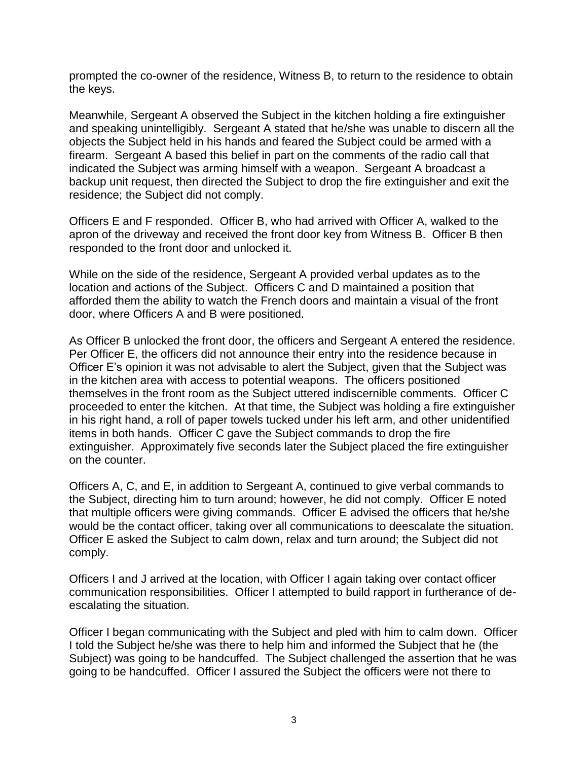prompted the co-owner of the residence, Witness B, to return to the residence to obtain the keys.

Meanwhile, Sergeant A observed the Subject in the kitchen holding a fire extinguisher and speaking unintelligibly. Sergeant A stated that he/she was unable to discern all the objects the Subject held in his hands and feared the Subject could be armed with a firearm. Sergeant A based this belief in part on the comments of the radio call that indicated the Subject was arming himself with a weapon. Sergeant A broadcast a backup unit request, then directed the Subject to drop the fire extinguisher and exit the residence; the Subject did not comply.

Officers E and F responded. Officer B, who had arrived with Officer A, walked to the apron of the driveway and received the front door key from Witness B. Officer B then responded to the front door and unlocked it.

While on the side of the residence, Sergeant A provided verbal updates as to the location and actions of the Subject. Officers C and D maintained a position that afforded them the ability to watch the French doors and maintain a visual of the front door, where Officers A and B were positioned.

As Officer B unlocked the front door, the officers and Sergeant A entered the residence. Per Officer E, the officers did not announce their entry into the residence because in Officer E's opinion it was not advisable to alert the Subject, given that the Subject was in the kitchen area with access to potential weapons. The officers positioned themselves in the front room as the Subject uttered indiscernible comments. Officer C proceeded to enter the kitchen. At that time, the Subject was holding a fire extinguisher in his right hand, a roll of paper towels tucked under his left arm, and other unidentified items in both hands. Officer C gave the Subject commands to drop the fire extinguisher. Approximately five seconds later the Subject placed the fire extinguisher on the counter.

Officers A, C, and E, in addition to Sergeant A, continued to give verbal commands to the Subject, directing him to turn around; however, he did not comply. Officer E noted that multiple officers were giving commands. Officer E advised the officers that he/she would be the contact officer, taking over all communications to deescalate the situation. Officer E asked the Subject to calm down, relax and turn around; the Subject did not comply.

Officers I and J arrived at the location, with Officer I again taking over contact officer communication responsibilities. Officer I attempted to build rapport in furtherance of deescalating the situation.

Officer I began communicating with the Subject and pled with him to calm down. Officer I told the Subject he/she was there to help him and informed the Subject that he (the Subject) was going to be handcuffed. The Subject challenged the assertion that he was going to be handcuffed. Officer I assured the Subject the officers were not there to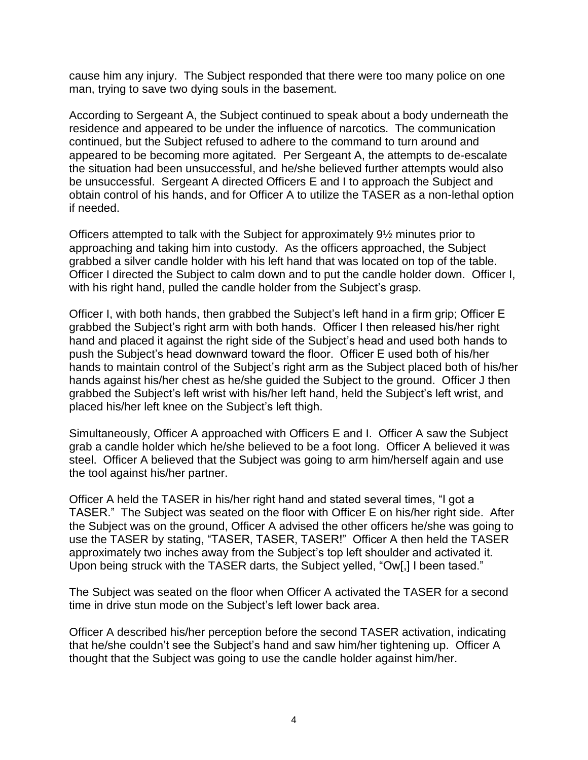cause him any injury. The Subject responded that there were too many police on one man, trying to save two dying souls in the basement.

According to Sergeant A, the Subject continued to speak about a body underneath the residence and appeared to be under the influence of narcotics. The communication continued, but the Subject refused to adhere to the command to turn around and appeared to be becoming more agitated. Per Sergeant A, the attempts to de-escalate the situation had been unsuccessful, and he/she believed further attempts would also be unsuccessful. Sergeant A directed Officers E and I to approach the Subject and obtain control of his hands, and for Officer A to utilize the TASER as a non-lethal option if needed.

Officers attempted to talk with the Subject for approximately 9½ minutes prior to approaching and taking him into custody. As the officers approached, the Subject grabbed a silver candle holder with his left hand that was located on top of the table. Officer I directed the Subject to calm down and to put the candle holder down. Officer I, with his right hand, pulled the candle holder from the Subject's grasp.

Officer I, with both hands, then grabbed the Subject's left hand in a firm grip; Officer E grabbed the Subject's right arm with both hands. Officer I then released his/her right hand and placed it against the right side of the Subject's head and used both hands to push the Subject's head downward toward the floor. Officer E used both of his/her hands to maintain control of the Subject's right arm as the Subject placed both of his/her hands against his/her chest as he/she guided the Subject to the ground. Officer J then grabbed the Subject's left wrist with his/her left hand, held the Subject's left wrist, and placed his/her left knee on the Subject's left thigh.

Simultaneously, Officer A approached with Officers E and I. Officer A saw the Subject grab a candle holder which he/she believed to be a foot long. Officer A believed it was steel. Officer A believed that the Subject was going to arm him/herself again and use the tool against his/her partner.

Officer A held the TASER in his/her right hand and stated several times, "I got a TASER." The Subject was seated on the floor with Officer E on his/her right side. After the Subject was on the ground, Officer A advised the other officers he/she was going to use the TASER by stating, "TASER, TASER, TASER!" Officer A then held the TASER approximately two inches away from the Subject's top left shoulder and activated it. Upon being struck with the TASER darts, the Subject yelled, "Ow[,] I been tased."

The Subject was seated on the floor when Officer A activated the TASER for a second time in drive stun mode on the Subject's left lower back area.

Officer A described his/her perception before the second TASER activation, indicating that he/she couldn't see the Subject's hand and saw him/her tightening up. Officer A thought that the Subject was going to use the candle holder against him/her.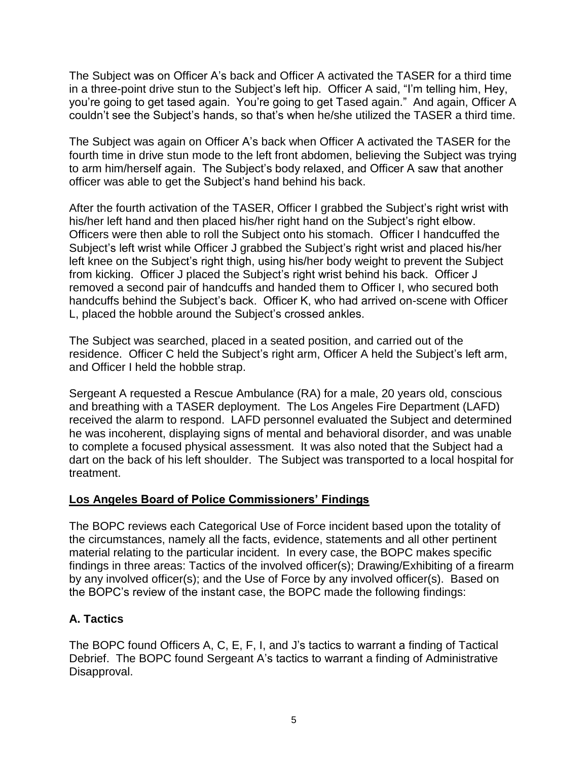The Subject was on Officer A's back and Officer A activated the TASER for a third time in a three-point drive stun to the Subject's left hip. Officer A said, "I'm telling him, Hey, you're going to get tased again. You're going to get Tased again." And again, Officer A couldn't see the Subject's hands, so that's when he/she utilized the TASER a third time.

The Subject was again on Officer A's back when Officer A activated the TASER for the fourth time in drive stun mode to the left front abdomen, believing the Subject was trying to arm him/herself again. The Subject's body relaxed, and Officer A saw that another officer was able to get the Subject's hand behind his back.

After the fourth activation of the TASER, Officer I grabbed the Subject's right wrist with his/her left hand and then placed his/her right hand on the Subject's right elbow. Officers were then able to roll the Subject onto his stomach. Officer I handcuffed the Subject's left wrist while Officer J grabbed the Subject's right wrist and placed his/her left knee on the Subject's right thigh, using his/her body weight to prevent the Subject from kicking. Officer J placed the Subject's right wrist behind his back. Officer J removed a second pair of handcuffs and handed them to Officer I, who secured both handcuffs behind the Subject's back. Officer K, who had arrived on-scene with Officer L, placed the hobble around the Subject's crossed ankles.

The Subject was searched, placed in a seated position, and carried out of the residence. Officer C held the Subject's right arm, Officer A held the Subject's left arm, and Officer I held the hobble strap.

Sergeant A requested a Rescue Ambulance (RA) for a male, 20 years old, conscious and breathing with a TASER deployment. The Los Angeles Fire Department (LAFD) received the alarm to respond. LAFD personnel evaluated the Subject and determined he was incoherent, displaying signs of mental and behavioral disorder, and was unable to complete a focused physical assessment. It was also noted that the Subject had a dart on the back of his left shoulder. The Subject was transported to a local hospital for treatment.

## **Los Angeles Board of Police Commissioners' Findings**

The BOPC reviews each Categorical Use of Force incident based upon the totality of the circumstances, namely all the facts, evidence, statements and all other pertinent material relating to the particular incident. In every case, the BOPC makes specific findings in three areas: Tactics of the involved officer(s); Drawing/Exhibiting of a firearm by any involved officer(s); and the Use of Force by any involved officer(s). Based on the BOPC's review of the instant case, the BOPC made the following findings:

## **A. Tactics**

The BOPC found Officers A, C, E, F, I, and J's tactics to warrant a finding of Tactical Debrief. The BOPC found Sergeant A's tactics to warrant a finding of Administrative Disapproval.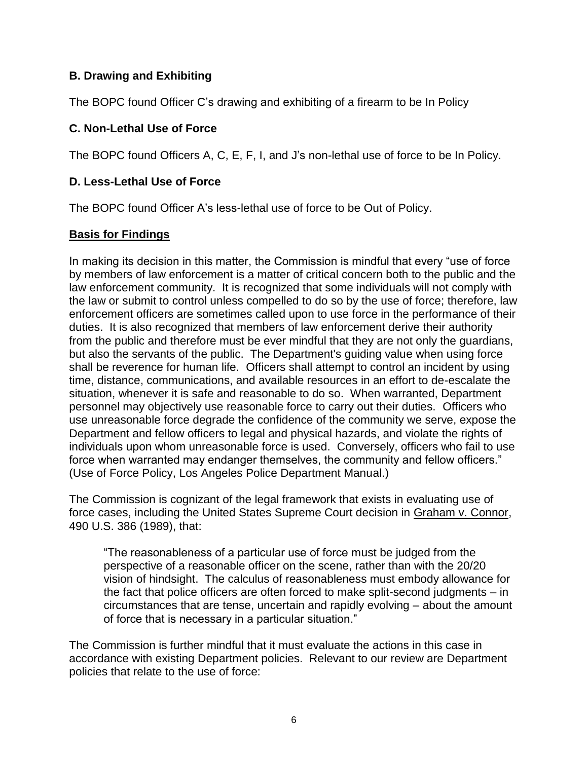## **B. Drawing and Exhibiting**

The BOPC found Officer C's drawing and exhibiting of a firearm to be In Policy

### **C. Non-Lethal Use of Force**

The BOPC found Officers A, C, E, F, I, and J's non-lethal use of force to be In Policy.

## **D. Less-Lethal Use of Force**

The BOPC found Officer A's less-lethal use of force to be Out of Policy.

### **Basis for Findings**

In making its decision in this matter, the Commission is mindful that every "use of force by members of law enforcement is a matter of critical concern both to the public and the law enforcement community. It is recognized that some individuals will not comply with the law or submit to control unless compelled to do so by the use of force; therefore, law enforcement officers are sometimes called upon to use force in the performance of their duties. It is also recognized that members of law enforcement derive their authority from the public and therefore must be ever mindful that they are not only the guardians, but also the servants of the public. The Department's guiding value when using force shall be reverence for human life. Officers shall attempt to control an incident by using time, distance, communications, and available resources in an effort to de-escalate the situation, whenever it is safe and reasonable to do so. When warranted, Department personnel may objectively use reasonable force to carry out their duties. Officers who use unreasonable force degrade the confidence of the community we serve, expose the Department and fellow officers to legal and physical hazards, and violate the rights of individuals upon whom unreasonable force is used. Conversely, officers who fail to use force when warranted may endanger themselves, the community and fellow officers." (Use of Force Policy, Los Angeles Police Department Manual.)

The Commission is cognizant of the legal framework that exists in evaluating use of force cases, including the United States Supreme Court decision in Graham v. Connor, 490 U.S. 386 (1989), that:

"The reasonableness of a particular use of force must be judged from the perspective of a reasonable officer on the scene, rather than with the 20/20 vision of hindsight. The calculus of reasonableness must embody allowance for the fact that police officers are often forced to make split-second judgments – in circumstances that are tense, uncertain and rapidly evolving – about the amount of force that is necessary in a particular situation."

The Commission is further mindful that it must evaluate the actions in this case in accordance with existing Department policies. Relevant to our review are Department policies that relate to the use of force: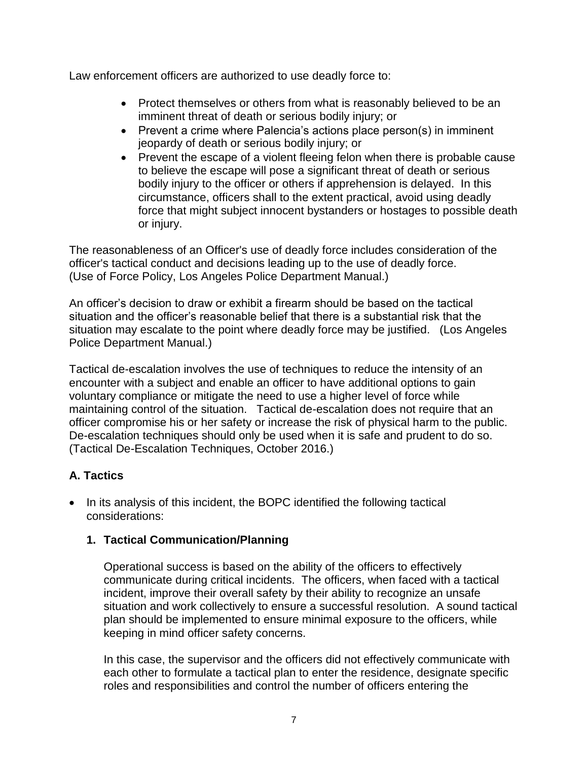Law enforcement officers are authorized to use deadly force to:

- Protect themselves or others from what is reasonably believed to be an imminent threat of death or serious bodily injury; or
- Prevent a crime where Palencia's actions place person(s) in imminent jeopardy of death or serious bodily injury; or
- Prevent the escape of a violent fleeing felon when there is probable cause to believe the escape will pose a significant threat of death or serious bodily injury to the officer or others if apprehension is delayed. In this circumstance, officers shall to the extent practical, avoid using deadly force that might subject innocent bystanders or hostages to possible death or injury.

The reasonableness of an Officer's use of deadly force includes consideration of the officer's tactical conduct and decisions leading up to the use of deadly force. (Use of Force Policy, Los Angeles Police Department Manual.)

An officer's decision to draw or exhibit a firearm should be based on the tactical situation and the officer's reasonable belief that there is a substantial risk that the situation may escalate to the point where deadly force may be justified. (Los Angeles Police Department Manual.)

Tactical de-escalation involves the use of techniques to reduce the intensity of an encounter with a subject and enable an officer to have additional options to gain voluntary compliance or mitigate the need to use a higher level of force while maintaining control of the situation. Tactical de-escalation does not require that an officer compromise his or her safety or increase the risk of physical harm to the public. De-escalation techniques should only be used when it is safe and prudent to do so. (Tactical De-Escalation Techniques, October 2016.)

# **A. Tactics**

• In its analysis of this incident, the BOPC identified the following tactical considerations:

## **1. Tactical Communication/Planning**

Operational success is based on the ability of the officers to effectively communicate during critical incidents. The officers, when faced with a tactical incident, improve their overall safety by their ability to recognize an unsafe situation and work collectively to ensure a successful resolution. A sound tactical plan should be implemented to ensure minimal exposure to the officers, while keeping in mind officer safety concerns.

In this case, the supervisor and the officers did not effectively communicate with each other to formulate a tactical plan to enter the residence, designate specific roles and responsibilities and control the number of officers entering the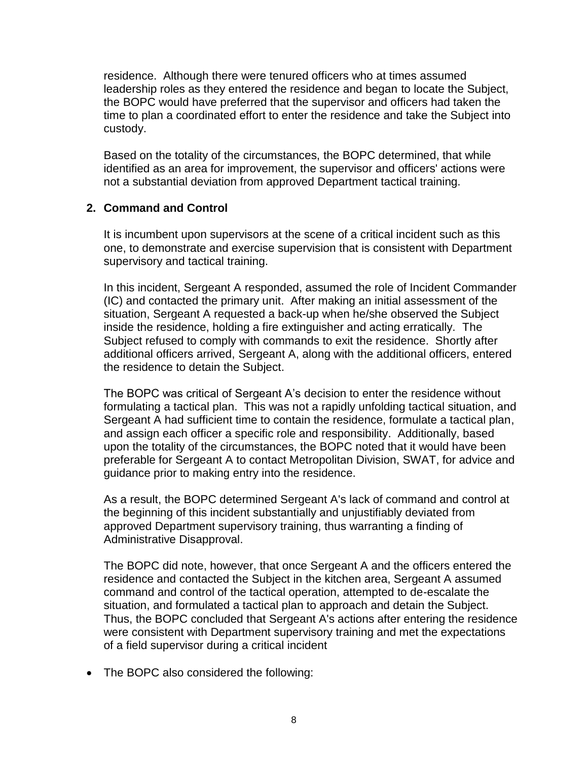residence. Although there were tenured officers who at times assumed leadership roles as they entered the residence and began to locate the Subject, the BOPC would have preferred that the supervisor and officers had taken the time to plan a coordinated effort to enter the residence and take the Subject into custody.

Based on the totality of the circumstances, the BOPC determined, that while identified as an area for improvement, the supervisor and officers' actions were not a substantial deviation from approved Department tactical training.

### **2. Command and Control**

It is incumbent upon supervisors at the scene of a critical incident such as this one, to demonstrate and exercise supervision that is consistent with Department supervisory and tactical training.

In this incident, Sergeant A responded, assumed the role of Incident Commander (IC) and contacted the primary unit. After making an initial assessment of the situation, Sergeant A requested a back-up when he/she observed the Subject inside the residence, holding a fire extinguisher and acting erratically. The Subject refused to comply with commands to exit the residence. Shortly after additional officers arrived, Sergeant A, along with the additional officers, entered the residence to detain the Subject.

The BOPC was critical of Sergeant A's decision to enter the residence without formulating a tactical plan. This was not a rapidly unfolding tactical situation, and Sergeant A had sufficient time to contain the residence, formulate a tactical plan, and assign each officer a specific role and responsibility. Additionally, based upon the totality of the circumstances, the BOPC noted that it would have been preferable for Sergeant A to contact Metropolitan Division, SWAT, for advice and guidance prior to making entry into the residence.

As a result, the BOPC determined Sergeant A's lack of command and control at the beginning of this incident substantially and unjustifiably deviated from approved Department supervisory training, thus warranting a finding of Administrative Disapproval.

The BOPC did note, however, that once Sergeant A and the officers entered the residence and contacted the Subject in the kitchen area, Sergeant A assumed command and control of the tactical operation, attempted to de-escalate the situation, and formulated a tactical plan to approach and detain the Subject. Thus, the BOPC concluded that Sergeant A's actions after entering the residence were consistent with Department supervisory training and met the expectations of a field supervisor during a critical incident

• The BOPC also considered the following: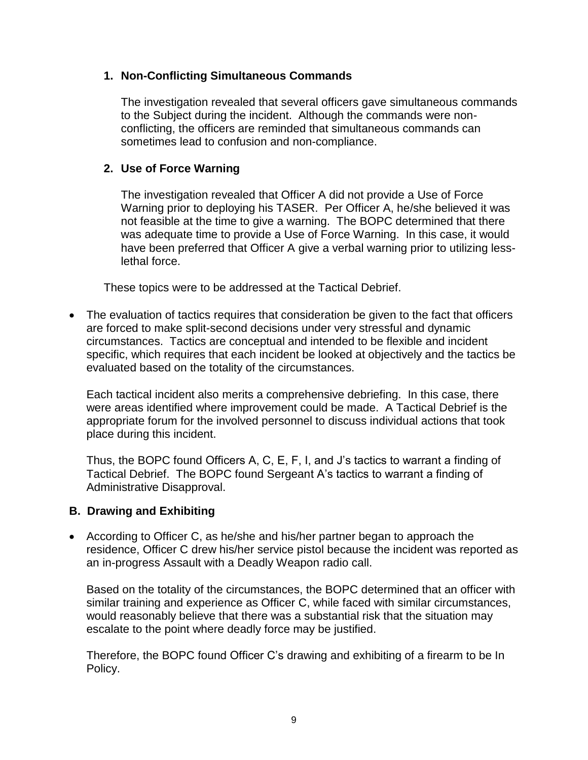### **1. Non-Conflicting Simultaneous Commands**

The investigation revealed that several officers gave simultaneous commands to the Subject during the incident. Although the commands were nonconflicting, the officers are reminded that simultaneous commands can sometimes lead to confusion and non-compliance.

## **2. Use of Force Warning**

The investigation revealed that Officer A did not provide a Use of Force Warning prior to deploying his TASER. Per Officer A, he/she believed it was not feasible at the time to give a warning. The BOPC determined that there was adequate time to provide a Use of Force Warning. In this case, it would have been preferred that Officer A give a verbal warning prior to utilizing lesslethal force.

These topics were to be addressed at the Tactical Debrief.

• The evaluation of tactics requires that consideration be given to the fact that officers are forced to make split-second decisions under very stressful and dynamic circumstances. Tactics are conceptual and intended to be flexible and incident specific, which requires that each incident be looked at objectively and the tactics be evaluated based on the totality of the circumstances.

Each tactical incident also merits a comprehensive debriefing. In this case, there were areas identified where improvement could be made. A Tactical Debrief is the appropriate forum for the involved personnel to discuss individual actions that took place during this incident.

Thus, the BOPC found Officers A, C, E, F, I, and J's tactics to warrant a finding of Tactical Debrief. The BOPC found Sergeant A's tactics to warrant a finding of Administrative Disapproval.

## **B. Drawing and Exhibiting**

• According to Officer C, as he/she and his/her partner began to approach the residence, Officer C drew his/her service pistol because the incident was reported as an in-progress Assault with a Deadly Weapon radio call.

Based on the totality of the circumstances, the BOPC determined that an officer with similar training and experience as Officer C, while faced with similar circumstances, would reasonably believe that there was a substantial risk that the situation may escalate to the point where deadly force may be justified.

Therefore, the BOPC found Officer C's drawing and exhibiting of a firearm to be In Policy.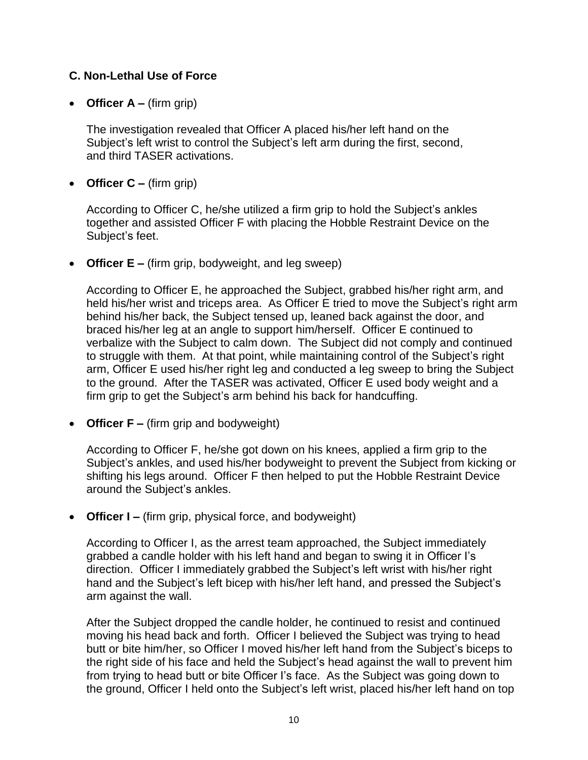## **C. Non-Lethal Use of Force**

• **Officer A –** (firm grip)

The investigation revealed that Officer A placed his/her left hand on the Subject's left wrist to control the Subject's left arm during the first, second, and third TASER activations.

• **Officer C –** (firm grip)

According to Officer C, he/she utilized a firm grip to hold the Subject's ankles together and assisted Officer F with placing the Hobble Restraint Device on the Subject's feet.

• **Officer E –** (firm grip, bodyweight, and leg sweep)

According to Officer E, he approached the Subject, grabbed his/her right arm, and held his/her wrist and triceps area. As Officer E tried to move the Subject's right arm behind his/her back, the Subject tensed up, leaned back against the door, and braced his/her leg at an angle to support him/herself. Officer E continued to verbalize with the Subject to calm down. The Subject did not comply and continued to struggle with them. At that point, while maintaining control of the Subject's right arm, Officer E used his/her right leg and conducted a leg sweep to bring the Subject to the ground. After the TASER was activated, Officer E used body weight and a firm grip to get the Subject's arm behind his back for handcuffing.

• **Officer F –** (firm grip and bodyweight)

According to Officer F, he/she got down on his knees, applied a firm grip to the Subject's ankles, and used his/her bodyweight to prevent the Subject from kicking or shifting his legs around. Officer F then helped to put the Hobble Restraint Device around the Subject's ankles.

• **Officer I –** (firm grip, physical force, and bodyweight)

According to Officer I, as the arrest team approached, the Subject immediately grabbed a candle holder with his left hand and began to swing it in Officer I's direction. Officer I immediately grabbed the Subject's left wrist with his/her right hand and the Subject's left bicep with his/her left hand, and pressed the Subject's arm against the wall.

After the Subject dropped the candle holder, he continued to resist and continued moving his head back and forth. Officer I believed the Subject was trying to head butt or bite him/her, so Officer I moved his/her left hand from the Subject's biceps to the right side of his face and held the Subject's head against the wall to prevent him from trying to head butt or bite Officer I's face. As the Subject was going down to the ground, Officer I held onto the Subject's left wrist, placed his/her left hand on top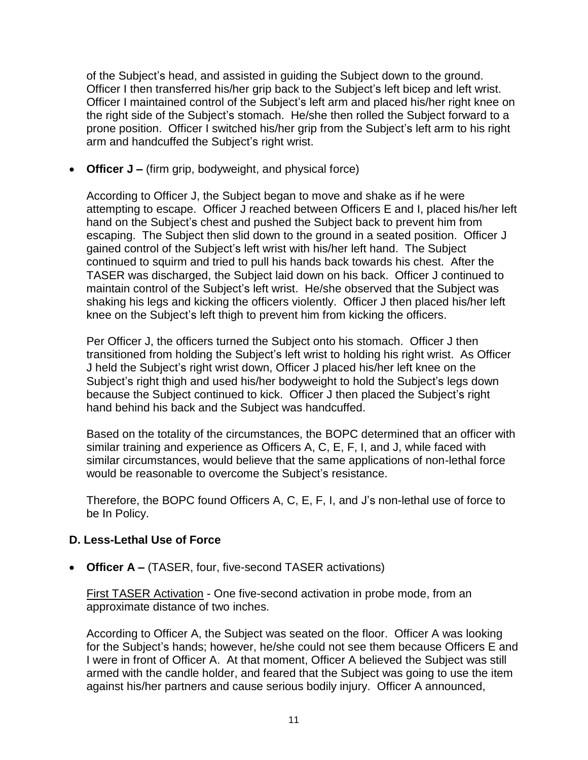of the Subject's head, and assisted in guiding the Subject down to the ground. Officer I then transferred his/her grip back to the Subject's left bicep and left wrist. Officer I maintained control of the Subject's left arm and placed his/her right knee on the right side of the Subject's stomach. He/she then rolled the Subject forward to a prone position. Officer I switched his/her grip from the Subject's left arm to his right arm and handcuffed the Subject's right wrist.

• **Officer J –** (firm grip, bodyweight, and physical force)

According to Officer J, the Subject began to move and shake as if he were attempting to escape. Officer J reached between Officers E and I, placed his/her left hand on the Subject's chest and pushed the Subject back to prevent him from escaping. The Subject then slid down to the ground in a seated position. Officer J gained control of the Subject's left wrist with his/her left hand. The Subject continued to squirm and tried to pull his hands back towards his chest. After the TASER was discharged, the Subject laid down on his back. Officer J continued to maintain control of the Subject's left wrist. He/she observed that the Subject was shaking his legs and kicking the officers violently. Officer J then placed his/her left knee on the Subject's left thigh to prevent him from kicking the officers.

Per Officer J, the officers turned the Subject onto his stomach. Officer J then transitioned from holding the Subject's left wrist to holding his right wrist. As Officer J held the Subject's right wrist down, Officer J placed his/her left knee on the Subject's right thigh and used his/her bodyweight to hold the Subject's legs down because the Subject continued to kick. Officer J then placed the Subject's right hand behind his back and the Subject was handcuffed.

Based on the totality of the circumstances, the BOPC determined that an officer with similar training and experience as Officers A, C, E, F, I, and J, while faced with similar circumstances, would believe that the same applications of non-lethal force would be reasonable to overcome the Subject's resistance.

Therefore, the BOPC found Officers A, C, E, F, I, and J's non-lethal use of force to be In Policy.

## **D. Less-Lethal Use of Force**

• **Officer A –** (TASER, four, five-second TASER activations)

First TASER Activation - One five-second activation in probe mode, from an approximate distance of two inches.

According to Officer A, the Subject was seated on the floor. Officer A was looking for the Subject's hands; however, he/she could not see them because Officers E and I were in front of Officer A. At that moment, Officer A believed the Subject was still armed with the candle holder, and feared that the Subject was going to use the item against his/her partners and cause serious bodily injury. Officer A announced,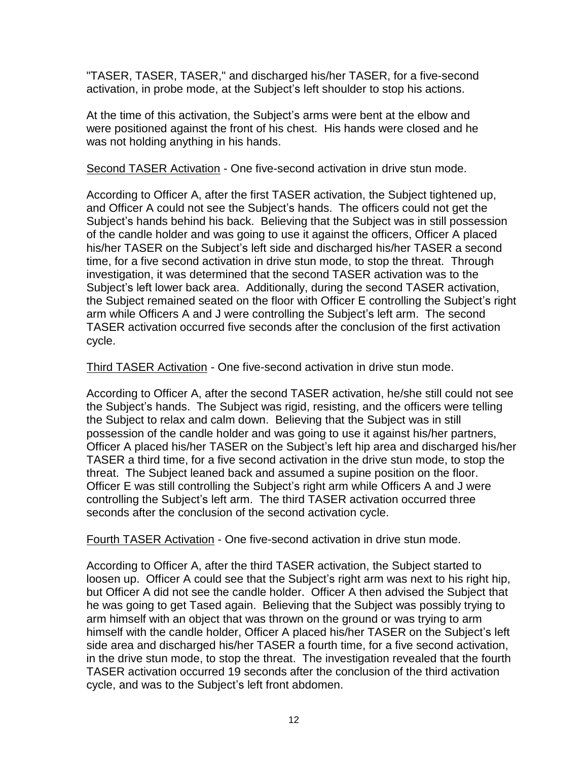"TASER, TASER, TASER," and discharged his/her TASER, for a five-second activation, in probe mode, at the Subject's left shoulder to stop his actions.

At the time of this activation, the Subject's arms were bent at the elbow and were positioned against the front of his chest. His hands were closed and he was not holding anything in his hands.

Second TASER Activation - One five-second activation in drive stun mode.

According to Officer A, after the first TASER activation, the Subject tightened up, and Officer A could not see the Subject's hands. The officers could not get the Subject's hands behind his back. Believing that the Subject was in still possession of the candle holder and was going to use it against the officers, Officer A placed his/her TASER on the Subject's left side and discharged his/her TASER a second time, for a five second activation in drive stun mode, to stop the threat. Through investigation, it was determined that the second TASER activation was to the Subject's left lower back area. Additionally, during the second TASER activation, the Subject remained seated on the floor with Officer E controlling the Subject's right arm while Officers A and J were controlling the Subject's left arm. The second TASER activation occurred five seconds after the conclusion of the first activation cycle.

Third TASER Activation - One five-second activation in drive stun mode.

According to Officer A, after the second TASER activation, he/she still could not see the Subject's hands. The Subject was rigid, resisting, and the officers were telling the Subject to relax and calm down. Believing that the Subject was in still possession of the candle holder and was going to use it against his/her partners, Officer A placed his/her TASER on the Subject's left hip area and discharged his/her TASER a third time, for a five second activation in the drive stun mode, to stop the threat. The Subject leaned back and assumed a supine position on the floor. Officer E was still controlling the Subject's right arm while Officers A and J were controlling the Subject's left arm. The third TASER activation occurred three seconds after the conclusion of the second activation cycle.

Fourth TASER Activation - One five-second activation in drive stun mode.

According to Officer A, after the third TASER activation, the Subject started to loosen up. Officer A could see that the Subject's right arm was next to his right hip, but Officer A did not see the candle holder. Officer A then advised the Subject that he was going to get Tased again. Believing that the Subject was possibly trying to arm himself with an object that was thrown on the ground or was trying to arm himself with the candle holder, Officer A placed his/her TASER on the Subject's left side area and discharged his/her TASER a fourth time, for a five second activation, in the drive stun mode, to stop the threat. The investigation revealed that the fourth TASER activation occurred 19 seconds after the conclusion of the third activation cycle, and was to the Subject's left front abdomen.